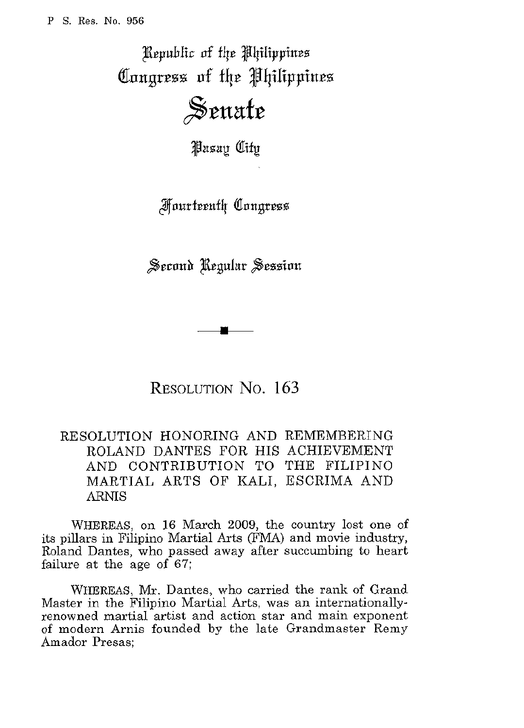Republic of the Philippines Congress of the Philippines

## Senate

**Pasay City** 

*Fourteenth Congress* 

Second Regular Session

RESOLUTION No. 163

## RESOLUTION HONORING AND REMEMBERING ROLAND DANTES FOR HIS ACHIEVEMENT AND CONTRIBUTION TO THE FILIPINO MARTIAL ARTS OF KALI, ESCRIMA AND ARNIS

WHEREAS, on 16 March 2009, the country lost one of its pillars in Filipino Martial Arts (FMA) and movie industry, Roland Dantes, who passed away after succumbing to heart failure at the age of 67;

WHEREAS, Mr. Dantes, who carried the rank of Grand Master in the Filipino Martial Arts, was an internationallyrenowned martial artist and action star and main exponent of modern Arnis founded by the late Grandmaster Remy Amador Presas;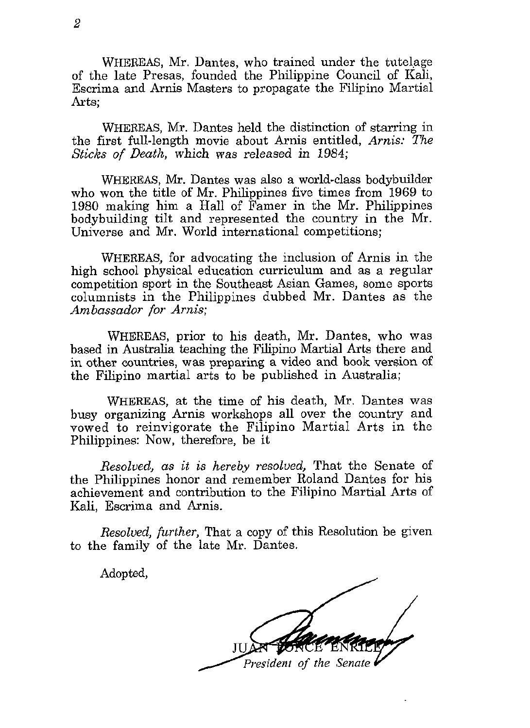WHEREAS, Mr. Dantes, who trained under the tutelage of the late Presas, founded the Philippine Council of Kali, Escrima and Arnis Masters to propagate the Filipino Martial Arts;

WHEREAS, Mr. Dantes held the distinction of starring in the first full-length movie about Arnis entitled, *Arnis: The Sticks of Death,* which was released in 1984;

WHEREAS, **Mr.** Dantes was also a world-class bodybuilder who won the title of Mr. Philippines five times from 1969 to 1980 making him a Hall of Famer in the Mr. Philippines bodybuilding tilt and represented the country in the Mr. Universe and Mr. World international competitions;

WHEREAS, for advocating the inclusion of Arnis in the high school physical education curriculum and as a regular competition sport in the Southeast Asian Games, some sports columnists in the Philippines dubbed Mr. Dantes as the *Ambassador for* **Amis;** 

WHEREAS, prior to his death, Mr. Dantes, who was based in Australia teaching the Filipino Martial Arts there and in other countries, was preparing a video and book version of the Filipino martial arts to be published in Australia;

WHEREAS, at the time of his death, Mr. Dantes was busy organizing Arnis workshops all over the country and vowed to reinvigorate the Filipino Martial Arts in the Philippines: Now, therefore, be it

*Resolved, as* it is *hereby resolved,* That the Senate of the Philippines honor and remember Roland Dantes for his achievement and contribution to the Filipino Martial Arts of Kali, Escrima and Amis.

*Resolved, further,* That a copy of this Resolution be given to the family of the late Mr. Dantes.

Adopted,

President of the Senate